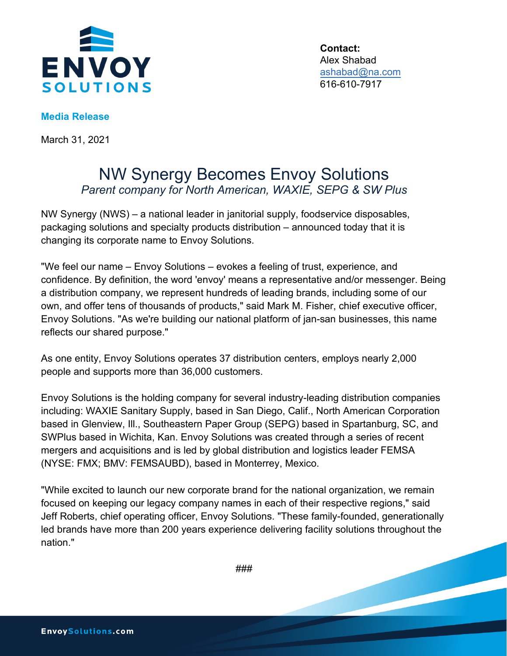

**Contact:** Alex Shabad ashabad@na.com 616-610-7917

## **Media Release**

March 31, 2021

## NW Synergy Becomes Envoy Solutions *Parent company for North American, WAXIE, SEPG & SW Plus*

NW Synergy (NWS) – a national leader in janitorial supply, foodservice disposables, packaging solutions and specialty products distribution – announced today that it is changing its corporate name to Envoy Solutions.

"We feel our name – Envoy Solutions – evokes a feeling of trust, experience, and confidence. By definition, the word 'envoy' means a representative and/or messenger. Being a distribution company, we represent hundreds of leading brands, including some of our own, and offer tens of thousands of products," said Mark M. Fisher, chief executive officer, Envoy Solutions. "As we're building our national platform of jan-san businesses, this name reflects our shared purpose."

As one entity, Envoy Solutions operates 37 distribution centers, employs nearly 2,000 people and supports more than 36,000 customers.

Envoy Solutions is the holding company for several industry-leading distribution companies including: WAXIE Sanitary Supply, based in San Diego, Calif., North American Corporation based in Glenview, Ill., Southeastern Paper Group (SEPG) based in Spartanburg, SC, and SWPlus based in Wichita, Kan. Envoy Solutions was created through a series of recent mergers and acquisitions and is led by global distribution and logistics leader FEMSA (NYSE: FMX; BMV: FEMSAUBD), based in Monterrey, Mexico.

"While excited to launch our new corporate brand for the national organization, we remain focused on keeping our legacy company names in each of their respective regions," said Jeff Roberts, chief operating officer, Envoy Solutions. "These family-founded, generationally led brands have more than 200 years experience delivering facility solutions throughout the nation."

###